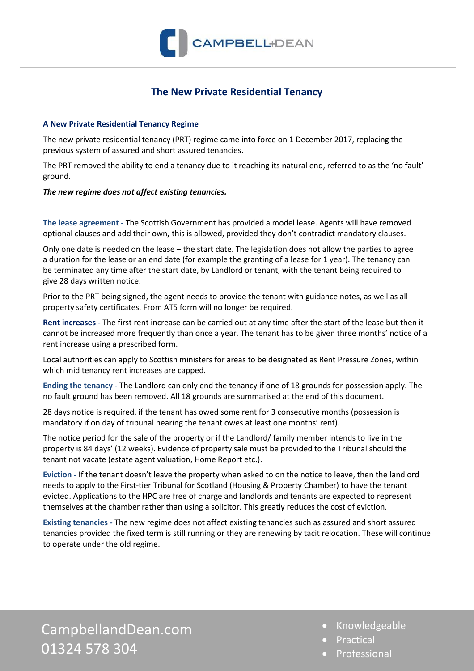

## **The New Private Residential Tenancy**

## **A New Private Residential Tenancy Regime**

The new private residential tenancy (PRT) regime came into force on 1 December 2017, replacing the previous system of assured and short assured tenancies.

The PRT removed the ability to end a tenancy due to it reaching its natural end, referred to as the 'no fault' ground.

## *The new regime does not affect existing tenancies.*

**The lease agreement -** The Scottish Government has provided a model lease. Agents will have removed optional clauses and add their own, this is allowed, provided they don't contradict mandatory clauses.

Only one date is needed on the lease – the start date. The legislation does not allow the parties to agree a duration for the lease or an end date (for example the granting of a lease for 1 year). The tenancy can be terminated any time after the start date, by Landlord or tenant, with the tenant being required to give 28 days written notice.

Prior to the PRT being signed, the agent needs to provide the tenant with guidance notes, as well as all property safety certificates. From AT5 form will no longer be required.

**Rent increases -** The first rent increase can be carried out at any time after the start of the lease but then it cannot be increased more frequently than once a year. The tenant has to be given three months' notice of a rent increase using a prescribed form.

Local authorities can apply to Scottish ministers for areas to be designated as Rent Pressure Zones, within which mid tenancy rent increases are capped.

**Ending the tenancy -** The Landlord can only end the tenancy if one of 18 grounds for possession apply. The no fault ground has been removed. All 18 grounds are summarised at the end of this document.

28 days notice is required, if the tenant has owed some rent for 3 consecutive months (possession is mandatory if on day of tribunal hearing the tenant owes at least one months' rent).

The notice period for the sale of the property or if the Landlord/ family member intends to live in the property is 84 days' (12 weeks). Evidence of property sale must be provided to the Tribunal should the tenant not vacate (estate agent valuation, Home Report etc.).

**Eviction -** If the tenant doesn't leave the property when asked to on the notice to leave, then the landlord needs to apply to the First-tier Tribunal for Scotland (Housing & Property Chamber) to have the tenant evicted. Applications to the HPC are free of charge and landlords and tenants are expected to represent themselves at the chamber rather than using a solicitor. This greatly reduces the cost of eviction.

**Existing tenancies -** The new regime does not affect existing tenancies such as assured and short assured tenancies provided the fixed term is still running or they are renewing by tacit relocation. These will continue to operate under the old regime.

CampbellandDean.com 01324 578 304

- Knowledgeable
- Practical
- **Professional**